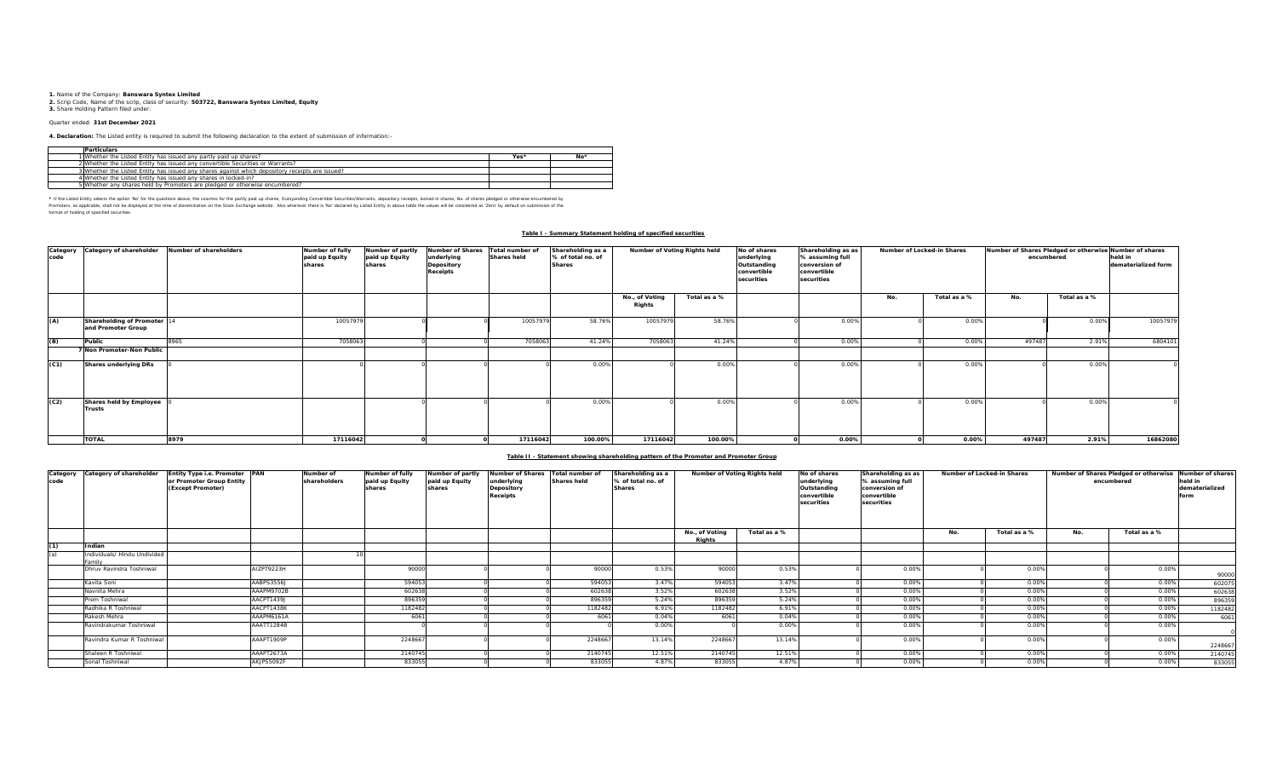**1.** Name of the Company: **Banswara Syntex Limited 2.** Scrip Code, Name of the scrip, class of security: **503722, Banswara Syntex Limited, Equity 3.** Share Holding Pattern filed under:

#### Quarter ended: **31st December 2021**

**4. Declaration:** The Listed entity is required to submit the following declaration to the extent of submission of information:-

| <b>Particulars</b>                                                                              |      |                 |
|-------------------------------------------------------------------------------------------------|------|-----------------|
| 1 Whether the Listed Entity has issued any partly paid up shares?                               | Yes* | No <sup>3</sup> |
| 2 Whether the Listed Entity has issued any convertible Securities or Warrants?                  |      |                 |
| 3 Whether the Listed Entity has issued any shares against which depository receipts are issued? |      |                 |
| 4 Whether the Listed Entity has issued any shares in locked-in?                                 |      |                 |
| 5 Whether any shares held by Promoters are pledged or otherwise encumbered?                     |      |                 |

\* If he Listed Ently selects the optom War for the educations above, the outwars for the partly paid up shardng Convertible Securities/Warrants, depository receipts, locked-in shares, No. of shares predget or otherwise of format of holding of specified securities.

#### **Table I - Summary Statement holding of specified securities**

| Category<br>code | Category of shareholder                           | Number of shareholders | Number of fully<br>paid up Equity<br>shares | Number of partly<br>paid up Equity<br>shares | <b>Number of Shares</b><br>underlying<br>Depository<br><b>Receipts</b> | Total number of<br><b>Shares held</b> | Shareholding as a<br>% of total no. of<br><b>Shares</b> | Number of Voting Rights held |              | Shareholding as as<br>No of shares<br>underlying<br>% assuming full<br>Outstanding<br>conversion of<br>convertible<br>convertible<br>securities<br>securities |       | Number of Locked-in Shares |              | Number of Shares Pledged or otherwise Number of shares | encumbered   | held in<br>dematerialized form |
|------------------|---------------------------------------------------|------------------------|---------------------------------------------|----------------------------------------------|------------------------------------------------------------------------|---------------------------------------|---------------------------------------------------------|------------------------------|--------------|---------------------------------------------------------------------------------------------------------------------------------------------------------------|-------|----------------------------|--------------|--------------------------------------------------------|--------------|--------------------------------|
|                  |                                                   |                        |                                             |                                              |                                                                        |                                       |                                                         | No., of Voting<br>Rights     | Total as a % |                                                                                                                                                               |       | No.                        | Total as a % | No.                                                    | Total as a % |                                |
| (A)              | Shareholding of Promoter 14<br>and Promoter Group |                        | 10057979                                    |                                              |                                                                        | 10057979                              | 58.76%                                                  | 10057979                     | 58.76%       |                                                                                                                                                               | 0.00% |                            | 0.00%        |                                                        | 0.00%        | 10057979                       |
| (B)              | Public                                            | 8965                   | 7058063                                     |                                              |                                                                        | 705806                                | 41.24%                                                  | 7058063                      | 41.24%       |                                                                                                                                                               | 0.00% |                            | 0.00%        | 497487                                                 | 2.91%        | 6804101                        |
|                  | <b>Non Promoter-Non Public</b>                    |                        |                                             |                                              |                                                                        |                                       |                                                         |                              |              |                                                                                                                                                               |       |                            |              |                                                        |              |                                |
| (C1)             | <b>Shares underlying DRs</b>                      |                        |                                             |                                              |                                                                        |                                       | 0.00%                                                   |                              | 0.00%        |                                                                                                                                                               | 0.00% |                            | 0.00%        |                                                        | 0.00%        |                                |
| (C2)             | Shares held by Employee<br><b>Trusts</b>          |                        |                                             |                                              |                                                                        |                                       | 0.00%                                                   |                              | 0.00%        |                                                                                                                                                               | 0.00% |                            | 0.00%        |                                                        | 0.00%        |                                |
|                  | <b>TOTAL</b>                                      | 8979                   | 17116042                                    |                                              |                                                                        | 17116042                              | 100.00%                                                 | 17116042                     | 100.00%      |                                                                                                                                                               | 0.00% |                            | 0.00%        | 497487                                                 | 2.91%        | 16862080                       |

### **Table II - Statement showing shareholding pattern of the Promoter and Promoter Group**

| code | Category Category of shareholder     | Entity Type i.e. Promoter PAN<br>or Promoter Group Entity<br>(Except Promoter) |            | Number of<br>shareholders | Number of fully<br>paid up Equity<br>shares | Number of partly<br>paid up Equity<br>shares | Number of Shares Total number of<br>underlying<br>Depository<br><b>Receipts</b> | <b>Shares held</b> | Shareholding as a<br>% of total no, of<br><b>Shares</b> | Number of Voting Rights held |              | No of shares<br>underlying<br>Outstanding<br>convertible<br>securities | Shareholding as as<br>% assuming full<br>conversion of<br>convertible<br>securities |     | Number of Locked-in Shares |     | Number of Shares Pledged or otherwise<br>encumbered | Number of shares<br>held in<br>dematerialized |
|------|--------------------------------------|--------------------------------------------------------------------------------|------------|---------------------------|---------------------------------------------|----------------------------------------------|---------------------------------------------------------------------------------|--------------------|---------------------------------------------------------|------------------------------|--------------|------------------------------------------------------------------------|-------------------------------------------------------------------------------------|-----|----------------------------|-----|-----------------------------------------------------|-----------------------------------------------|
|      |                                      |                                                                                |            |                           |                                             |                                              |                                                                                 |                    |                                                         | No., of Voting<br>Rights     | Total as a % |                                                                        |                                                                                     | No. | Total as a %               | No. | Total as a %                                        |                                               |
| (1)  | Indian                               |                                                                                |            |                           |                                             |                                              |                                                                                 |                    |                                                         |                              |              |                                                                        |                                                                                     |     |                            |     |                                                     |                                               |
|      | ndividuals/ Hindu Undivided<br>amily |                                                                                |            |                           |                                             |                                              |                                                                                 |                    |                                                         |                              |              |                                                                        |                                                                                     |     |                            |     |                                                     |                                               |
|      | Dhruv Ravindra Toshniwal             |                                                                                | AIZPT9223H |                           | 90000                                       |                                              |                                                                                 | 90000              | 0.53%                                                   | 90000                        | 0.53%        |                                                                        | 0.00%                                                                               |     | 0.00%                      |     | 0.00%                                               | 90000                                         |
|      | Kavita Soni                          |                                                                                | AABPS3556J |                           | 594053                                      |                                              |                                                                                 | 594053             | 3.47%                                                   | 594053                       | 3.47%        |                                                                        | 0.00%                                                                               |     | 0.00%                      |     | 0.00%                                               | 602075                                        |
|      | Navnita Mehra                        |                                                                                | AAAPM9702B |                           | 602638                                      |                                              |                                                                                 | 60263              | 3.52%                                                   | 60263                        | 3.52%        |                                                                        | 0.00%                                                                               |     | 0.00%                      |     | 0.00%                                               | 602638                                        |
|      | rem Toshniwal                        |                                                                                | AACPT1439J |                           | 896359                                      |                                              |                                                                                 | 896359             | 5.24%                                                   | 896359                       | 5.24%        |                                                                        | 0.00%                                                                               |     | 0.00%                      |     | 0.00%                                               | 896359                                        |
|      | Radhika R Toshniwal                  |                                                                                | AACPT1438K |                           | 1182482                                     |                                              |                                                                                 | 118248             | 6.91%                                                   | 118248                       | 6.91%        |                                                                        | 0.00%                                                                               |     | 0.00%                      |     | 0.00%                                               | 1182482                                       |
|      | Rakesh Mehra                         |                                                                                | AAAPM6161A |                           | 6061                                        |                                              |                                                                                 | 6061               | 0.04%                                                   | 6061                         | 0.04%        |                                                                        | 0.00%                                                                               |     | 0.00%                      |     | 0.00%                                               | 6061                                          |
|      | Ravindrakumar Toshniwal              |                                                                                | AAATT1284B |                           |                                             |                                              |                                                                                 |                    | 0.00%                                                   |                              | 0.00%        |                                                                        | 0.00%                                                                               |     | 0.00%                      |     | 0.00%                                               | $\Omega$                                      |
|      | Ravindra Kumar R Toshniwal           |                                                                                | AAAPT1909P |                           | 224866                                      |                                              |                                                                                 | 224866             | 13.14%                                                  | 224866                       | 13.14%       |                                                                        | 0.00%                                                                               |     | 0.00%                      |     | 0.009                                               | 2248667                                       |
|      | Shaleen R Toshniwal                  |                                                                                | AAAPT2673A |                           | 2140745                                     |                                              |                                                                                 | 214074             | 12.51%                                                  | 2140745                      | 12.51%       |                                                                        | 0.00%                                                                               |     | 0.00%                      |     | 0.00%                                               | 2140745                                       |
|      | Sonal Toshniwal                      |                                                                                | AKJPS5092F |                           | 833055                                      |                                              |                                                                                 | 83305              | 4.87%                                                   | 833055                       | 4.87%        |                                                                        | 0.00%                                                                               |     | 0.00%                      |     | 0.00%                                               | 833055                                        |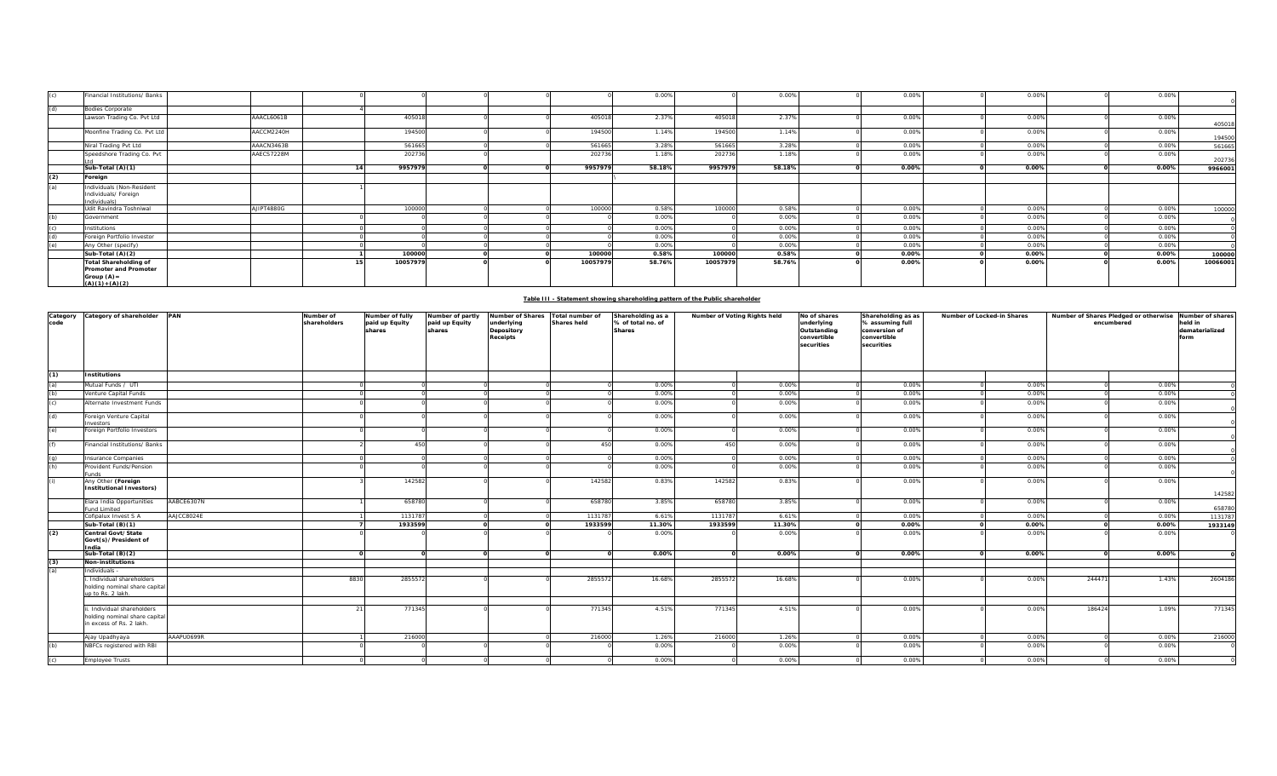| (c) | Financial Institutions/ Banks                                                             |            |          |  |          | 0.00%  |          | 0.00%  | 0.00% | 0.00% | 0.00% |          |
|-----|-------------------------------------------------------------------------------------------|------------|----------|--|----------|--------|----------|--------|-------|-------|-------|----------|
| (d) | <b>Bodies Corporate</b>                                                                   |            |          |  |          |        |          |        |       |       |       |          |
|     | Lawson Trading Co. Pvt Ltd                                                                | AAACL6061B | 405018   |  | 405018   | 2.37%  | 405018   | 2.37%  | 0.00% | 0.00% | 0.00% | 405018   |
|     | Moonfine Trading Co. Pvt Ltd                                                              | AACCM2240H | 194500   |  | 194500   | 1.14%  | 194500   | 1.14%  | 0.00% | 0.00% | 0.00% | 194500   |
|     | Niral Trading Pvt Ltd                                                                     | AAACN3463B | 561665   |  | 561665   | 3.28%  | 561665   | 3.28%  | 0.00% | 0.00% | 0.00% | 561665   |
|     | Speedshore Trading Co. Pvt                                                                | AAECS7228M | 202736   |  | 202736   | 1.18%  | 202736   | 1.18%  | 0.00% | 0.00% | 0.009 | 202736   |
|     | Sub-Total (A)(1)                                                                          |            | 9957979  |  | 9957979  | 58.18% | 9957979  | 58.18% | 0.00% | 0.00% | 0.00% | 9966001  |
| (2) | Foreign                                                                                   |            |          |  |          |        |          |        |       |       |       |          |
| (a) | Individuals (Non-Resident<br>Individuals/ Foreign<br>Individuals)                         |            |          |  |          |        |          |        |       |       |       |          |
|     | Udit Ravindra Toshniwal                                                                   | AJIPT4880G | 100000   |  | 100000   | 0.58%  | 100000   | 0.58%  | 0.00% | 0.00% | 0.00% | 100000   |
| (h) | Government                                                                                |            |          |  |          | 0.00%  |          | 0.00%  | 0.00% | 0.00% | 0.009 |          |
|     | nstitutions                                                                               |            |          |  |          | 0.00%  |          | 0.00%  | 0.00% | 0.00% | 0.00% |          |
| (d) | Foreign Portfolio Investor                                                                |            |          |  |          | 0.00%  |          | 0.00%  | 0.00% | 0.00% | 0.00% |          |
| (a) | Any Other (specify)                                                                       |            |          |  |          | 0.00%  |          | 0.00%  | 0.00% | 0.00% | 0.00% |          |
|     | Sub-Total (A)(2)                                                                          |            | 100000   |  | 100000   | 0.58%  | 100000   | 0.58%  | 0.00% | 0.00% | 0.00% | 100000   |
|     | <b>Total Shareholding of</b><br>Promoter and Promoter<br>Group $(A)$ =<br>$(A)(1)+(A)(2)$ |            | 10057979 |  | 10057979 | 58.76% | 10057979 | 58.76% | 0.00% | 0.00% | 0.00% | 10066001 |

# **Table III - Statement showing shareholding pattern of the Public shareholder**

| Category<br>code | Category of shareholder<br><b>PAN</b>                                                 | Number of<br>shareholders | Number of fully<br>paid up Equity<br>shares | Number of partly<br>paid up Equity<br>shares | <b>Number of Shares</b><br>underlying<br>Depository<br><b>Receipts</b> | Total number of<br><b>Shares held</b> | Shareholding as a<br>% of total no. of<br><b>Shares</b> |         | Number of Voting Rights held | No of shares<br>underlying<br>Outstanding<br>convertible<br>securities | Shareholding as as<br>% assuming full<br>conversion of<br>convertible<br>securities | Number of Locked-in Shares |        | Number of Shares Pledged or otherwise<br>encumbered | Number of shares<br>held in<br>dematerialized<br>form |
|------------------|---------------------------------------------------------------------------------------|---------------------------|---------------------------------------------|----------------------------------------------|------------------------------------------------------------------------|---------------------------------------|---------------------------------------------------------|---------|------------------------------|------------------------------------------------------------------------|-------------------------------------------------------------------------------------|----------------------------|--------|-----------------------------------------------------|-------------------------------------------------------|
| (1)              | Institutions                                                                          |                           |                                             |                                              |                                                                        |                                       |                                                         |         |                              |                                                                        |                                                                                     |                            |        |                                                     |                                                       |
| (a)              | Mutual Funds / UTI                                                                    |                           |                                             |                                              |                                                                        |                                       | 0.00%                                                   |         | 0.00%                        |                                                                        | 0.00%                                                                               | 0.00%                      |        | 0.00%                                               |                                                       |
| (b)              | enture Capital Funds                                                                  |                           |                                             |                                              |                                                                        |                                       | 0.00%                                                   |         | 0.00%                        |                                                                        | 0.00%                                                                               | 0.00%                      |        | 0.00%                                               |                                                       |
| (c)              | Alternate Investment Funds                                                            |                           |                                             |                                              |                                                                        |                                       | 0.00%                                                   |         | 0.00%                        |                                                                        | 0.00%                                                                               | 0.00%                      |        | 0.00%                                               |                                                       |
| (d)              | oreign Venture Capital<br><b>vestors</b>                                              |                           |                                             |                                              |                                                                        |                                       | 0.00%                                                   |         | 0.00%                        |                                                                        | 0.00%                                                                               | 0.00%                      |        | 0.00%                                               |                                                       |
| (e)              | Foreign Portfolio Investors                                                           |                           |                                             |                                              |                                                                        |                                       | 0.00%                                                   |         | 0.00%                        |                                                                        | 0.00%                                                                               | 0.00%                      |        | 0.00%                                               |                                                       |
|                  | inancial Institutions/ Banks                                                          |                           | 450                                         |                                              |                                                                        | 450                                   | 0.00%                                                   | 450     | 0.00%                        |                                                                        | 0.00%                                                                               | 0.00%                      |        | 0.00%                                               |                                                       |
| (q)              | nsurance Companies                                                                    |                           |                                             |                                              |                                                                        |                                       | 0.00%                                                   |         | 0.00%                        |                                                                        | 0.00%                                                                               | 0.00%                      |        | 0.00%                                               |                                                       |
| (h)              | rovident Funds/Pension<br>unds                                                        |                           |                                             |                                              |                                                                        |                                       | 0.00%                                                   |         | 0.00%                        |                                                                        | 0.00%                                                                               | 0.00%                      |        | 0.00%                                               |                                                       |
|                  | Any Other (Foreign<br><b>Institutional Investors)</b>                                 |                           | 142582                                      |                                              |                                                                        | 142582                                | 0.83%                                                   | 142582  | 0.83%                        |                                                                        | 0.00%                                                                               | 0.00%                      |        | 0.00%                                               |                                                       |
|                  | AABCE6307N<br>lara India Opportunities<br>und Limited                                 |                           | 658780                                      |                                              |                                                                        | 658780                                | 3.85%                                                   | 658780  | 3.85%                        |                                                                        | 0.00%                                                                               | 0.00%                      |        | 0.00%                                               | 142582<br>658780                                      |
|                  | Cofipalux Invest S A<br>AAJCC8024E                                                    |                           | 1131787                                     |                                              |                                                                        | 1131787                               | 6.61%                                                   | 1131787 | 6.61%                        |                                                                        | 0.00%                                                                               | 0.00%                      |        | 0.00%                                               | 1131787                                               |
|                  | Sub-Total (B)(1)                                                                      |                           | 1933599                                     |                                              |                                                                        | 1933599                               | 11.30%                                                  | 1933599 | 11.30%                       |                                                                        | 0.00%                                                                               | 0.00%                      |        | 0.00%                                               | 1933149                                               |
| (2)              | Central Govt/State<br>Govt(s)/President of<br>ndia                                    |                           |                                             |                                              |                                                                        |                                       | 0.00%                                                   |         | 0.00%                        |                                                                        | 0.00%                                                                               | 0.00%                      |        | 0.00%                                               |                                                       |
|                  | Sub-Total $(B)(2)$                                                                    |                           |                                             |                                              |                                                                        |                                       | 0.00%                                                   |         | 0.00%                        |                                                                        | 0.00%                                                                               | 0.00%                      |        | 0.00%                                               |                                                       |
| (3)              | Non-institutions                                                                      |                           |                                             |                                              |                                                                        |                                       |                                                         |         |                              |                                                                        |                                                                                     |                            |        |                                                     |                                                       |
| (a)              | ndividuals -                                                                          |                           |                                             |                                              |                                                                        |                                       |                                                         |         |                              |                                                                        |                                                                                     |                            |        |                                                     |                                                       |
|                  | Individual shareholders<br>holding nominal share capital<br>up to Rs. 2 lakh.         | 8830                      | 2855572                                     |                                              |                                                                        | 2855572                               | 16.68%                                                  | 285557  | 16.689                       |                                                                        | 0.00%                                                                               | 0.00%                      | 244471 | 1.43%                                               | 2604186                                               |
|                  |                                                                                       |                           |                                             |                                              |                                                                        |                                       |                                                         |         |                              |                                                                        |                                                                                     |                            |        |                                                     |                                                       |
|                  | . Individual shareholders<br>holding nominal share capital<br>n excess of Rs. 2 lakh. |                           | 771345                                      |                                              |                                                                        | 771345                                | 4.51%                                                   | 771345  | 4.51%                        |                                                                        | 0.00%                                                                               | 0.00%                      | 186424 | 1.09%                                               | 771345                                                |
|                  | AAAPU0699R<br>Ajay Upadhyaya                                                          |                           | 216000                                      |                                              |                                                                        | 216000                                | 1.26%                                                   | 216000  | 1.26%                        |                                                                        | 0.00%                                                                               | 0.00%                      |        | 0.00%                                               | 216000                                                |
| (b)              | NBFCs registered with RBI                                                             |                           |                                             |                                              |                                                                        |                                       | 0.00%                                                   |         | 0.00%                        |                                                                        | 0.00%                                                                               | 0.00%                      |        | 0.00%                                               |                                                       |
| (c)              | <b>Employee Trusts</b>                                                                |                           |                                             |                                              |                                                                        |                                       | 0.00%                                                   |         | 0.00%                        |                                                                        | 0.00%                                                                               | 0.00%                      |        | 0.00%                                               |                                                       |